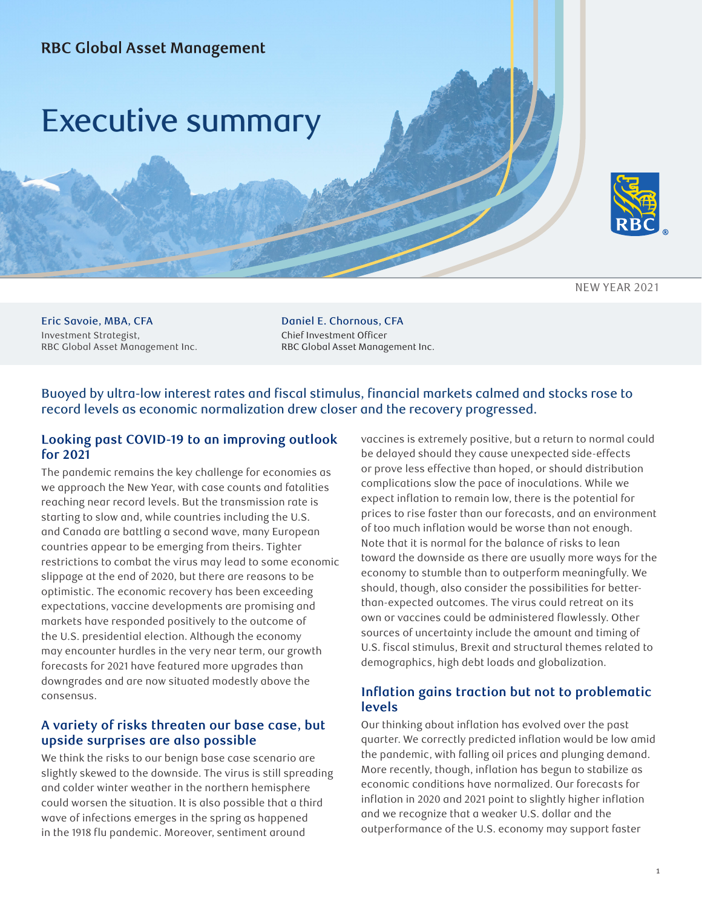



NEW YEAR 2021

Eric Savoie, MBA, CFA Investment Strategist, RBC Global Asset Management Inc. Daniel E. Chornous, CFA Chief Investment Officer RBC Global Asset Management Inc.

## Buoyed by ultra-low interest rates and fiscal stimulus, financial markets calmed and stocks rose to record levels as economic normalization drew closer and the recovery progressed.

#### **Looking past COVID-19 to an improving outlook for 2021**

The pandemic remains the key challenge for economies as we approach the New Year, with case counts and fatalities reaching near record levels. But the transmission rate is starting to slow and, while countries including the U.S. and Canada are battling a second wave, many European countries appear to be emerging from theirs. Tighter restrictions to combat the virus may lead to some economic slippage at the end of 2020, but there are reasons to be optimistic. The economic recovery has been exceeding expectations, vaccine developments are promising and markets have responded positively to the outcome of the U.S. presidential election. Although the economy may encounter hurdles in the very near term, our growth forecasts for 2021 have featured more upgrades than downgrades and are now situated modestly above the consensus.

### **A variety of risks threaten our base case, but upside surprises are also possible**

We think the risks to our benign base case scenario are slightly skewed to the downside. The virus is still spreading and colder winter weather in the northern hemisphere could worsen the situation. It is also possible that a third wave of infections emerges in the spring as happened in the 1918 flu pandemic. Moreover, sentiment around

vaccines is extremely positive, but a return to normal could be delayed should they cause unexpected side-effects or prove less effective than hoped, or should distribution complications slow the pace of inoculations. While we expect inflation to remain low, there is the potential for prices to rise faster than our forecasts, and an environment of too much inflation would be worse than not enough. Note that it is normal for the balance of risks to lean toward the downside as there are usually more ways for the economy to stumble than to outperform meaningfully. We should, though, also consider the possibilities for betterthan-expected outcomes. The virus could retreat on its own or vaccines could be administered flawlessly. Other sources of uncertainty include the amount and timing of U.S. fiscal stimulus, Brexit and structural themes related to demographics, high debt loads and globalization.

### **Inflation gains traction but not to problematic levels**

Our thinking about inflation has evolved over the past quarter. We correctly predicted inflation would be low amid the pandemic, with falling oil prices and plunging demand. More recently, though, inflation has begun to stabilize as economic conditions have normalized. Our forecasts for inflation in 2020 and 2021 point to slightly higher inflation and we recognize that a weaker U.S. dollar and the outperformance of the U.S. economy may support faster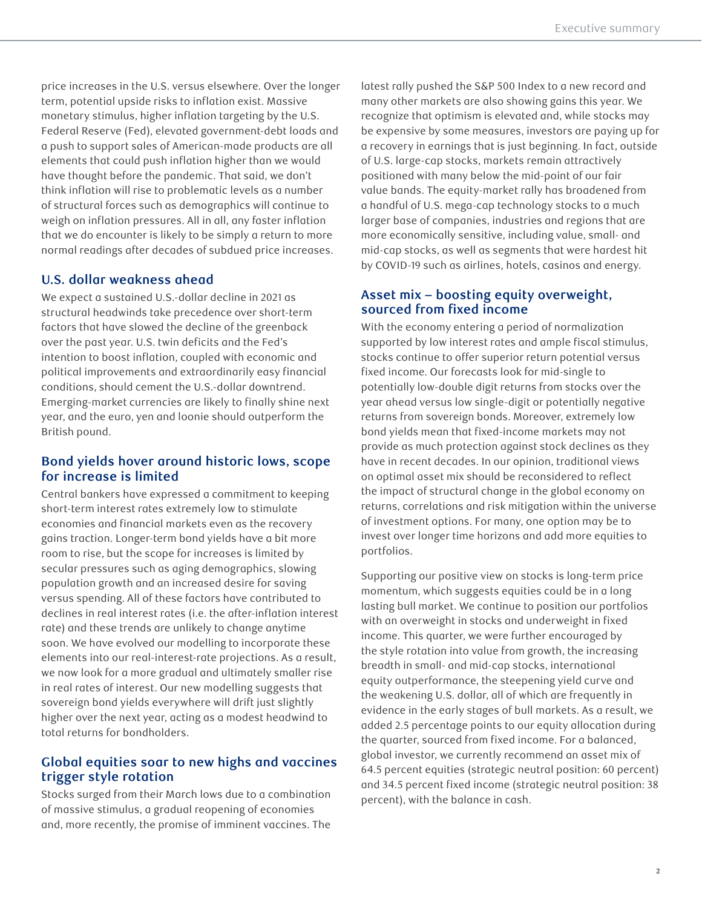price increases in the U.S. versus elsewhere. Over the longer term, potential upside risks to inflation exist. Massive monetary stimulus, higher inflation targeting by the U.S. Federal Reserve (Fed), elevated government-debt loads and a push to support sales of American-made products are all elements that could push inflation higher than we would have thought before the pandemic. That said, we don't think inflation will rise to problematic levels as a number of structural forces such as demographics will continue to weigh on inflation pressures. All in all, any faster inflation that we do encounter is likely to be simply a return to more normal readings after decades of subdued price increases.

## **U.S. dollar weakness ahead**

We expect a sustained U.S.-dollar decline in 2021 as structural headwinds take precedence over short-term factors that have slowed the decline of the greenback over the past year. U.S. twin deficits and the Fed's intention to boost inflation, coupled with economic and political improvements and extraordinarily easy financial conditions, should cement the U.S.-dollar downtrend. Emerging-market currencies are likely to finally shine next year, and the euro, yen and loonie should outperform the British pound.

#### **Bond yields hover around historic lows, scope for increase is limited**

Central bankers have expressed a commitment to keeping short-term interest rates extremely low to stimulate economies and financial markets even as the recovery gains traction. Longer-term bond yields have a bit more room to rise, but the scope for increases is limited by secular pressures such as aging demographics, slowing population growth and an increased desire for saving versus spending. All of these factors have contributed to declines in real interest rates (i.e. the after-inflation interest rate) and these trends are unlikely to change anytime soon. We have evolved our modelling to incorporate these elements into our real-interest-rate projections. As a result, we now look for a more gradual and ultimately smaller rise in real rates of interest. Our new modelling suggests that sovereign bond yields everywhere will drift just slightly higher over the next year, acting as a modest headwind to total returns for bondholders.

## **Global equities soar to new highs and vaccines trigger style rotation**

Stocks surged from their March lows due to a combination of massive stimulus, a gradual reopening of economies and, more recently, the promise of imminent vaccines. The

latest rally pushed the S&P 500 Index to a new record and many other markets are also showing gains this year. We recognize that optimism is elevated and, while stocks may be expensive by some measures, investors are paying up for a recovery in earnings that is just beginning. In fact, outside of U.S. large-cap stocks, markets remain attractively positioned with many below the mid-point of our fair value bands. The equity-market rally has broadened from a handful of U.S. mega-cap technology stocks to a much larger base of companies, industries and regions that are more economically sensitive, including value, small- and mid-cap stocks, as well as segments that were hardest hit by COVID-19 such as airlines, hotels, casinos and energy.

#### **Asset mix – boosting equity overweight, sourced from fixed income**

With the economy entering a period of normalization supported by low interest rates and ample fiscal stimulus, stocks continue to offer superior return potential versus fixed income. Our forecasts look for mid-single to potentially low-double digit returns from stocks over the year ahead versus low single-digit or potentially negative returns from sovereign bonds. Moreover, extremely low bond yields mean that fixed-income markets may not provide as much protection against stock declines as they have in recent decades. In our opinion, traditional views on optimal asset mix should be reconsidered to reflect the impact of structural change in the global economy on returns, correlations and risk mitigation within the universe of investment options. For many, one option may be to invest over longer time horizons and add more equities to portfolios.

Supporting our positive view on stocks is long-term price momentum, which suggests equities could be in a long lasting bull market. We continue to position our portfolios with an overweight in stocks and underweight in fixed income. This quarter, we were further encouraged by the style rotation into value from growth, the increasing breadth in small- and mid-cap stocks, international equity outperformance, the steepening yield curve and the weakening U.S. dollar, all of which are frequently in evidence in the early stages of bull markets. As a result, we added 2.5 percentage points to our equity allocation during the quarter, sourced from fixed income. For a balanced, global investor, we currently recommend an asset mix of 64.5 percent equities (strategic neutral position: 60 percent) and 34.5 percent fixed income (strategic neutral position: 38 percent), with the balance in cash.